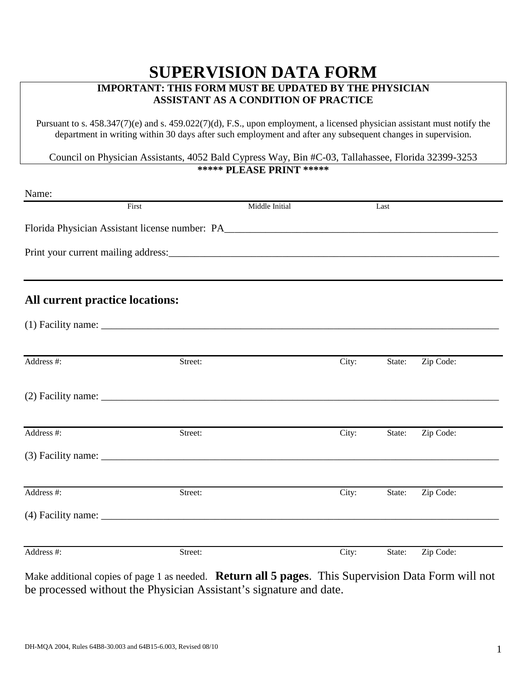## **SUPERVISION DATA FORM IMPORTANT: THIS FORM MUST BE UPDATED BY THE PHYSICIAN ASSISTANT AS A CONDITION OF PRACTICE**

Pursuant to s. 458.347(7)(e) and s. 459.022(7)(d), F.S., upon employment, a licensed physician assistant must notify the department in writing within 30 days after such employment and after any subsequent changes in supervision.

Council on Physician Assistants, 4052 Bald Cypress Way, Bin #C-03, Tallahassee, Florida 32399-3253 **\*\*\*\*\* PLEASE PRINT \*\*\*\*\*** 

| Name:      |                                 |                |       |        |           |
|------------|---------------------------------|----------------|-------|--------|-----------|
|            | First                           | Middle Initial |       | Last   |           |
|            |                                 |                |       |        |           |
|            |                                 |                |       |        |           |
|            | All current practice locations: |                |       |        |           |
|            |                                 |                |       |        |           |
| Address #: | Street:                         |                | City: | State: | Zip Code: |
|            |                                 |                |       |        |           |
| Address #: | Street:                         |                | City: | State: | Zip Code: |
|            |                                 |                |       |        |           |
| Address #: | Street:                         |                | City: | State: | Zip Code: |
|            |                                 |                |       |        |           |
| Address #: | Street:                         |                | City: | State: | Zip Code: |

Make additional copies of page 1 as needed. **Return all 5 pages**. This Supervision Data Form will not be processed without the Physician Assistant's signature and date.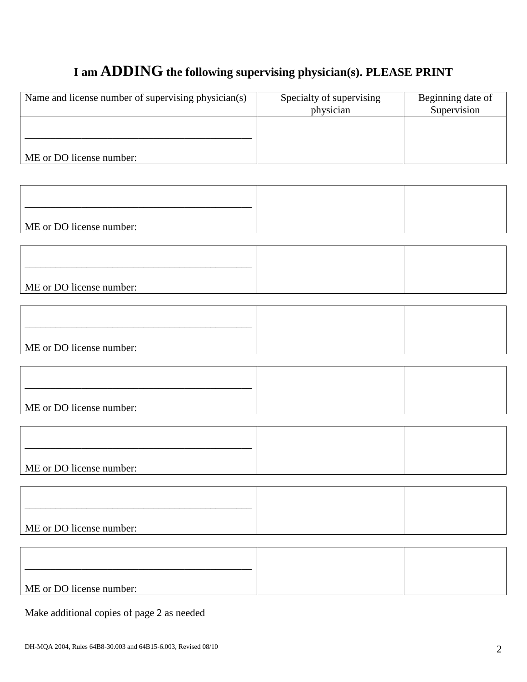# **I am ADDING the following supervising physician(s). PLEASE PRINT**

| Name and license number of supervising physician(s) | Specialty of supervising<br>physician | Beginning date of<br>Supervision |
|-----------------------------------------------------|---------------------------------------|----------------------------------|
|                                                     |                                       |                                  |
| ME or DO license number:                            |                                       |                                  |
|                                                     |                                       |                                  |
|                                                     |                                       |                                  |
| ME or DO license number:                            |                                       |                                  |
|                                                     |                                       |                                  |
|                                                     |                                       |                                  |
| ME or DO license number:                            |                                       |                                  |
|                                                     |                                       |                                  |
|                                                     |                                       |                                  |
| ME or DO license number:                            |                                       |                                  |
|                                                     |                                       |                                  |
|                                                     |                                       |                                  |
| ME or DO license number:                            |                                       |                                  |
|                                                     |                                       |                                  |
| ME or DO license number:                            |                                       |                                  |
|                                                     |                                       |                                  |
|                                                     |                                       |                                  |
| ME or DO license number:                            |                                       |                                  |
|                                                     |                                       |                                  |
|                                                     |                                       |                                  |
| ME or DO license number:                            |                                       |                                  |
| Make additional copies of page 2 as needed          |                                       |                                  |

DH-MQA 2004, Rules 64B8-30.003 and 64B15-6.003, Revised 08/10 2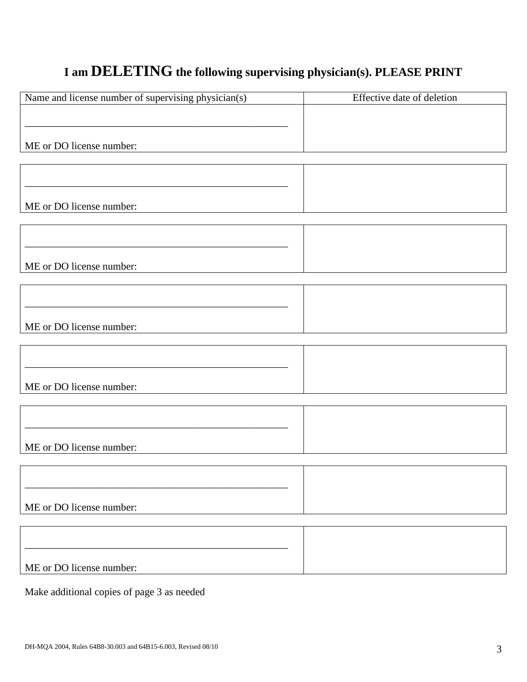# **I am DELETING the following supervising physician(s). PLEASE PRINT**

| Name and license number of supervising physician(s) | Effective date of deletion |
|-----------------------------------------------------|----------------------------|
|                                                     |                            |
|                                                     |                            |
|                                                     |                            |
| ME or DO license number:                            |                            |
|                                                     |                            |
|                                                     |                            |
|                                                     |                            |
| ME or DO license number:                            |                            |
|                                                     |                            |
|                                                     |                            |
|                                                     |                            |
|                                                     |                            |
| ME or DO license number:                            |                            |
|                                                     |                            |
|                                                     |                            |
|                                                     |                            |
| ME or DO license number:                            |                            |
|                                                     |                            |
|                                                     |                            |
|                                                     |                            |
|                                                     |                            |
| ME or DO license number:                            |                            |
|                                                     |                            |
|                                                     |                            |
|                                                     |                            |
|                                                     |                            |
| ME or DO license number:                            |                            |
|                                                     |                            |
|                                                     |                            |
|                                                     |                            |
| ME or DO license number:                            |                            |
|                                                     |                            |
|                                                     |                            |
|                                                     |                            |
|                                                     |                            |
| ME or DO license number:                            |                            |
|                                                     |                            |

Make additional copies of page 3 as needed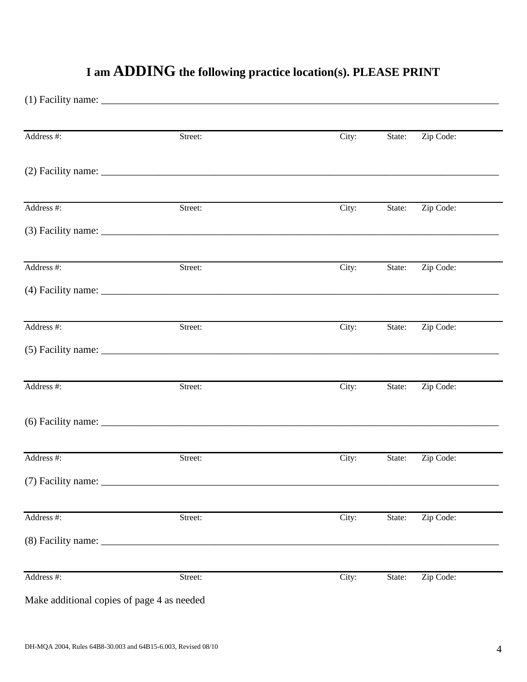| Address #:                                 | Street: | City: | State: | Zip Code: |  |
|--------------------------------------------|---------|-------|--------|-----------|--|
|                                            |         |       |        |           |  |
| Address #:                                 | Street: | City: | State: | Zip Code: |  |
|                                            |         |       |        |           |  |
| Address #:                                 | Street: | City: | State: | Zip Code: |  |
|                                            |         |       |        |           |  |
| Address #:                                 | Street: | City: | State: | Zip Code: |  |
|                                            |         |       |        |           |  |
| Address #:                                 | Street: | City: | State: | Zip Code: |  |
|                                            |         |       |        |           |  |
| Address #:                                 | Street: | City: | State: | Zip Code: |  |
| (7) Facility name: ____                    |         |       |        |           |  |
| Address #:                                 | Street: | City: | State: | Zip Code: |  |
|                                            |         |       |        |           |  |
| Address #:                                 | Street: | City: | State: | Zip Code: |  |
| Make additional copies of page 4 as needed |         |       |        |           |  |

# **I am ADDING the following practice location(s). PLEASE PRINT**